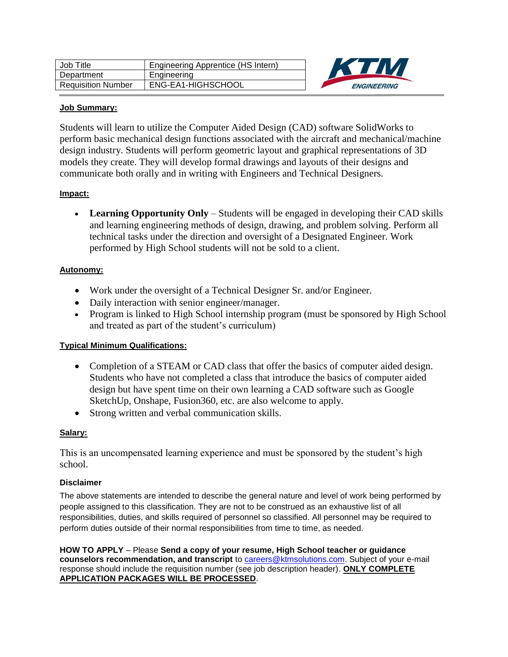| Job Title                 | Engineering Apprentice (HS Intern) |
|---------------------------|------------------------------------|
| Department                | Engineering                        |
| <b>Requisition Number</b> | ENG-EA1-HIGHSCHOOL                 |



#### **Job Summary:**

Students will learn to utilize the Computer Aided Design (CAD) software SolidWorks to perform basic mechanical design functions associated with the aircraft and mechanical/machine design industry. Students will perform geometric layout and graphical representations of 3D models they create. They will develop formal drawings and layouts of their designs and communicate both orally and in writing with Engineers and Technical Designers.

# **Impact:**

 **Learning Opportunity Only** – Students will be engaged in developing their CAD skills and learning engineering methods of design, drawing, and problem solving. Perform all technical tasks under the direction and oversight of a Designated Engineer. Work performed by High School students will not be sold to a client.

# **Autonomy:**

- Work under the oversight of a Technical Designer Sr. and/or Engineer.
- Daily interaction with senior engineer/manager.
- Program is linked to High School internship program (must be sponsored by High School and treated as part of the student's curriculum)

# **Typical Minimum Qualifications:**

- Completion of a STEAM or CAD class that offer the basics of computer aided design. Students who have not completed a class that introduce the basics of computer aided design but have spent time on their own learning a CAD software such as Google SketchUp, Onshape, Fusion360, etc. are also welcome to apply.
- Strong written and verbal communication skills.

# **Salary:**

This is an uncompensated learning experience and must be sponsored by the student's high school.

#### **Disclaimer**

The above statements are intended to describe the general nature and level of work being performed by people assigned to this classification. They are not to be construed as an exhaustive list of all responsibilities, duties, and skills required of personnel so classified. All personnel may be required to perform duties outside of their normal responsibilities from time to time, as needed.

**HOW TO APPLY** – Please **Send a copy of your resume, High School teacher or guidance counselors recommendation, and transcript** to [careers@ktmsolutions.com.](mailto:careers@ktmsolutions.com) Subject of your e-mail response should include the requisition number (see job description header). **ONLY COMPLETE APPLICATION PACKAGES WILL BE PROCESSED**.